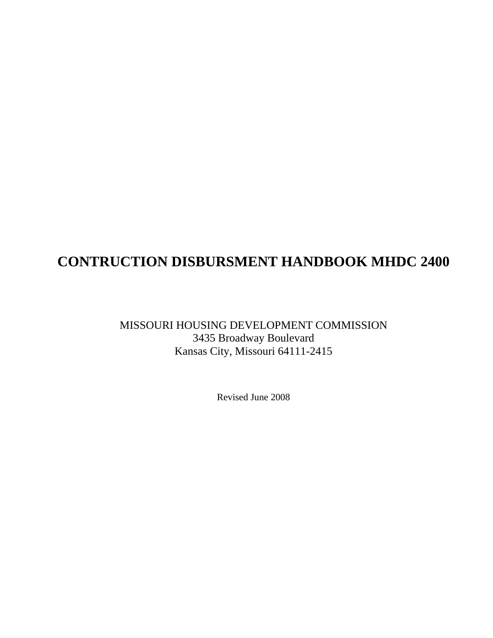### **CONTRUCTION DISBURSMENT HANDBOOK MHDC 2400**

### MISSOURI HOUSING DEVELOPMENT COMMISSION 3435 Broadway Boulevard Kansas City, Missouri 64111-2415

Revised June 2008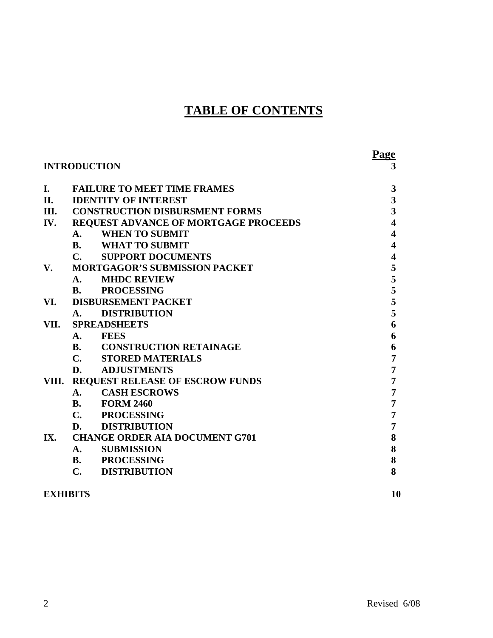### **TABLE OF CONTENTS**

|      | <b>INTRODUCTION</b>                         | <b>Page</b><br>3        |
|------|---------------------------------------------|-------------------------|
| I.   | <b>FAILURE TO MEET TIME FRAMES</b>          | 3                       |
| II.  | <b>IDENTITY OF INTEREST</b>                 | $\overline{\mathbf{3}}$ |
|      | III. CONSTRUCTION DISBURSMENT FORMS         | $\overline{\mathbf{3}}$ |
| IV.  | <b>REQUEST ADVANCE OF MORTGAGE PROCEEDS</b> | $\overline{\mathbf{4}}$ |
|      | <b>WHEN TO SUBMIT</b><br>A.                 | 4                       |
|      | <b>B.</b> WHAT TO SUBMIT                    | $\overline{\mathbf{4}}$ |
|      | <b>C. SUPPORT DOCUMENTS</b>                 | $\overline{\mathbf{4}}$ |
| V.   | <b>MORTGAGOR'S SUBMISSION PACKET</b>        | 5                       |
|      | <b>MHDC REVIEW</b><br>A.                    | 5                       |
|      | <b>B. PROCESSING</b>                        | 5                       |
| VI.  | <b>DISBURSEMENT PACKET</b>                  | 5                       |
|      | <b>DISTRIBUTION</b><br>A.                   | 5                       |
| VII. | <b>SPREADSHEETS</b>                         | 6                       |
|      | A. FEES                                     | 6                       |
|      | <b>B. CONSTRUCTION RETAINAGE</b>            | 6                       |
|      | C. STORED MATERIALS                         | 7                       |
|      | <b>D. ADJUSTMENTS</b>                       | 7                       |
|      | VIII. REQUEST RELEASE OF ESCROW FUNDS       | 7                       |
|      | <b>CASH ESCROWS</b><br>$\mathbf{A}$ .       | 7                       |
|      | <b>B.</b> FORM 2460                         | 7                       |
|      | $C_{\bullet}$<br><b>PROCESSING</b>          | 7                       |
|      | <b>D. DISTRIBUTION</b>                      | 7                       |
| IX.  | <b>CHANGE ORDER AIA DOCUMENT G701</b>       | 8                       |
|      | <b>SUBMISSION</b><br>$A_{\cdot}$            | 8                       |
|      | <b>B. PROCESSING</b>                        | 8                       |
|      | $\mathbf{C}$ .<br><b>DISTRIBUTION</b>       | 8                       |
|      |                                             |                         |

### **EXHIBITS 10**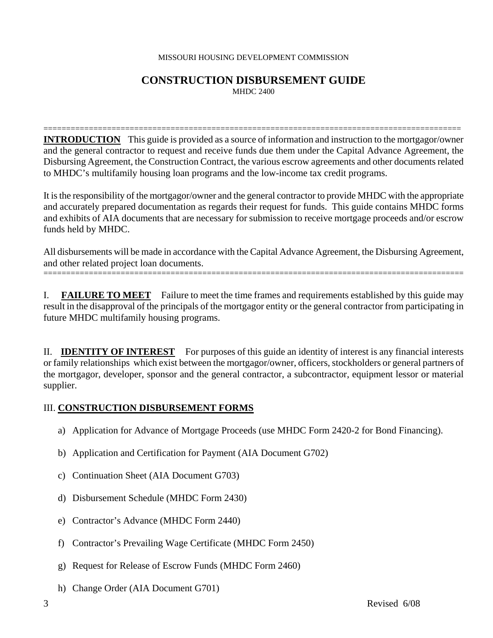### **CONSTRUCTION DISBURSEMENT GUIDE** MHDC 2400

============================================================================================ **INTRODUCTION** This guide is provided as a source of information and instruction to the mortgagor/owner and the general contractor to request and receive funds due them under the Capital Advance Agreement, the Disbursing Agreement, the Construction Contract, the various escrow agreements and other documents related to MHDC's multifamily housing loan programs and the low-income tax credit programs.

It is the responsibility of the mortgagor/owner and the general contractor to provide MHDC with the appropriate and accurately prepared documentation as regards their request for funds. This guide contains MHDC forms and exhibits of AIA documents that are necessary for submission to receive mortgage proceeds and/or escrow funds held by MHDC.

All disbursements will be made in accordance with the Capital Advance Agreement, the Disbursing Agreement, and other related project loan documents. =============================================================================================

I. **FAILURE TO MEET** Failure to meet the time frames and requirements established by this guide may result in the disapproval of the principals of the mortgagor entity or the general contractor from participating in future MHDC multifamily housing programs.

II. **IDENTITY OF INTEREST** For purposes of this guide an identity of interest is any financial interests or family relationships which exist between the mortgagor/owner, officers, stockholders or general partners of the mortgagor, developer, sponsor and the general contractor, a subcontractor, equipment lessor or material supplier.

### III. **CONSTRUCTION DISBURSEMENT FORMS**

- a) Application for Advance of Mortgage Proceeds (use MHDC Form 2420-2 for Bond Financing).
- b) Application and Certification for Payment (AIA Document G702)
- c) Continuation Sheet (AIA Document G703)
- d) Disbursement Schedule (MHDC Form 2430)
- e) Contractor's Advance (MHDC Form 2440)
- f) Contractor's Prevailing Wage Certificate (MHDC Form 2450)
- g) Request for Release of Escrow Funds (MHDC Form 2460)
- h) Change Order (AIA Document G701)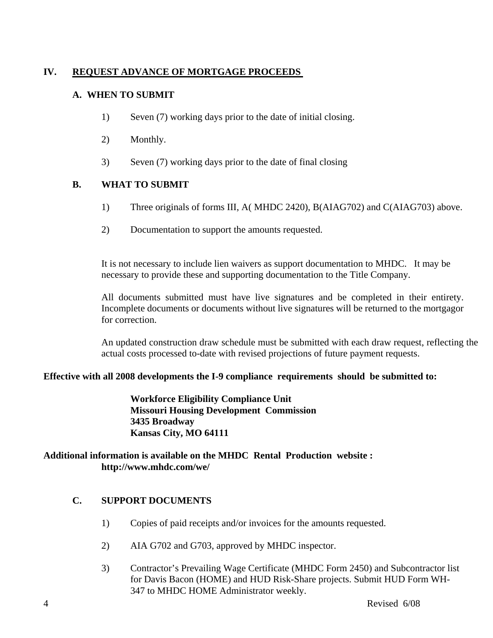### **IV. REQUEST ADVANCE OF MORTGAGE PROCEEDS**

### **A. WHEN TO SUBMIT**

- 1) Seven (7) working days prior to the date of initial closing.
- 2) Monthly.
- 3) Seven (7) working days prior to the date of final closing

### **B. WHAT TO SUBMIT**

- 1) Three originals of forms III, A( MHDC 2420), B(AIAG702) and C(AIAG703) above.
- 2) Documentation to support the amounts requested.

It is not necessary to include lien waivers as support documentation to MHDC. It may be necessary to provide these and supporting documentation to the Title Company.

All documents submitted must have live signatures and be completed in their entirety. Incomplete documents or documents without live signatures will be returned to the mortgagor for correction.

An updated construction draw schedule must be submitted with each draw request, reflecting the actual costs processed to-date with revised projections of future payment requests.

### **Effective with all 2008 developments the I-9 compliance requirements should be submitted to:**

 **Workforce Eligibility Compliance Unit Missouri Housing Development Commission 3435 Broadway Kansas City, MO 64111** 

### **Additional information is available on the MHDC Rental Production website : http://www.mhdc.com/we/**

### **C. SUPPORT DOCUMENTS**

- 1) Copies of paid receipts and/or invoices for the amounts requested.
- 2) AIA G702 and G703, approved by MHDC inspector.
- 3) Contractor's Prevailing Wage Certificate (MHDC Form 2450) and Subcontractor list for Davis Bacon (HOME) and HUD Risk-Share projects. Submit HUD Form WH-347 to MHDC HOME Administrator weekly.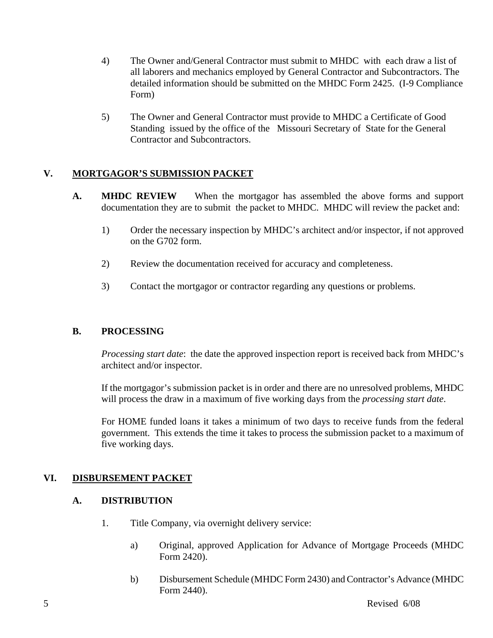- 4) The Owner and/General Contractor must submit to MHDC with each draw a list of all laborers and mechanics employed by General Contractor and Subcontractors. The detailed information should be submitted on the MHDC Form 2425. (I-9 Compliance Form)
- 5) The Owner and General Contractor must provide to MHDC a Certificate of Good Standing issued by the office of the Missouri Secretary of State for the General Contractor and Subcontractors.

### **V. MORTGAGOR'S SUBMISSION PACKET**

- **A. MHDC REVIEW** When the mortgagor has assembled the above forms and support documentation they are to submit the packet to MHDC. MHDC will review the packet and:
	- 1) Order the necessary inspection by MHDC's architect and/or inspector, if not approved on the G702 form.
	- 2) Review the documentation received for accuracy and completeness.
	- 3) Contact the mortgagor or contractor regarding any questions or problems.

### **B. PROCESSING**

*Processing start date*: the date the approved inspection report is received back from MHDC's architect and/or inspector.

If the mortgagor's submission packet is in order and there are no unresolved problems, MHDC will process the draw in a maximum of five working days from the *processing start date*.

For HOME funded loans it takes a minimum of two days to receive funds from the federal government. This extends the time it takes to process the submission packet to a maximum of five working days.

### **VI. DISBURSEMENT PACKET**

### **A. DISTRIBUTION**

- 1. Title Company, via overnight delivery service:
	- a) Original, approved Application for Advance of Mortgage Proceeds (MHDC Form 2420).
	- b) Disbursement Schedule (MHDC Form 2430) and Contractor's Advance (MHDC Form 2440).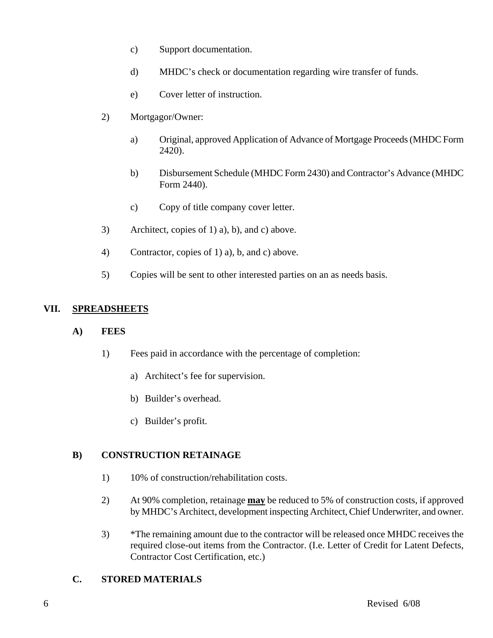- c) Support documentation.
- d) MHDC's check or documentation regarding wire transfer of funds.
- e) Cover letter of instruction.
- 2) Mortgagor/Owner:
	- a) Original, approved Application of Advance of Mortgage Proceeds (MHDC Form 2420).
	- b) Disbursement Schedule (MHDC Form 2430) and Contractor's Advance (MHDC Form 2440).
	- c) Copy of title company cover letter.
- 3) Architect, copies of 1) a), b), and c) above.
- 4) Contractor, copies of 1) a), b, and c) above.
- 5) Copies will be sent to other interested parties on an as needs basis.

### **VII. SPREADSHEETS**

### **A) FEES**

- 1) Fees paid in accordance with the percentage of completion:
	- a) Architect's fee for supervision.
	- b) Builder's overhead.
	- c) Builder's profit.

### **B) CONSTRUCTION RETAINAGE**

- 1) 10% of construction/rehabilitation costs.
- 2) At 90% completion, retainage **may** be reduced to 5% of construction costs, if approved by MHDC's Architect, development inspecting Architect, Chief Underwriter, and owner.
- 3) \*The remaining amount due to the contractor will be released once MHDC receives the required close-out items from the Contractor. (I.e. Letter of Credit for Latent Defects, Contractor Cost Certification, etc.)

### **C. STORED MATERIALS**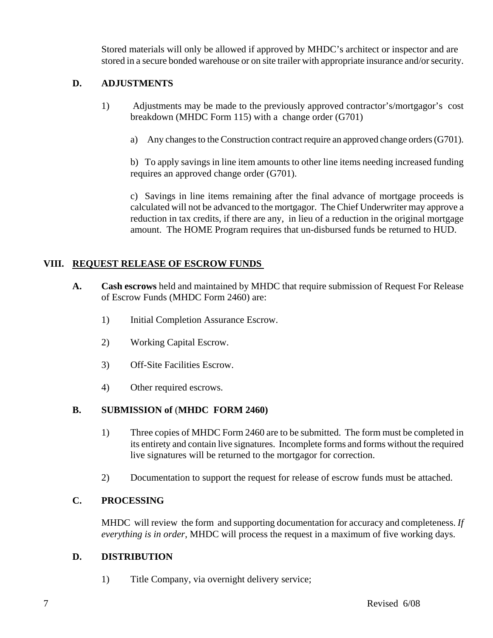Stored materials will only be allowed if approved by MHDC's architect or inspector and are stored in a secure bonded warehouse or on site trailer with appropriate insurance and/or security.

### **D. ADJUSTMENTS**

- 1) Adjustments may be made to the previously approved contractor's/mortgagor's cost breakdown (MHDC Form 115) with a change order (G701)
	- a) Any changes to the Construction contract require an approved change orders (G701).

b) To apply savings in line item amounts to other line items needing increased funding requires an approved change order (G701).

c) Savings in line items remaining after the final advance of mortgage proceeds is calculated will not be advanced to the mortgagor. The Chief Underwriter may approve a reduction in tax credits, if there are any, in lieu of a reduction in the original mortgage amount. The HOME Program requires that un-disbursed funds be returned to HUD.

### **VIII. REQUEST RELEASE OF ESCROW FUNDS**

- **A. Cash escrows** held and maintained by MHDC that require submission of Request For Release of Escrow Funds (MHDC Form 2460) are:
	- 1) Initial Completion Assurance Escrow.
	- 2) Working Capital Escrow.
	- 3) Off-Site Facilities Escrow.
	- 4) Other required escrows.

### **B. SUBMISSION of** (**MHDC FORM 2460)**

- 1) Three copies of MHDC Form 2460 are to be submitted. The form must be completed in its entirety and contain live signatures. Incomplete forms and forms without the required live signatures will be returned to the mortgagor for correction.
- 2) Documentation to support the request for release of escrow funds must be attached.

### **C. PROCESSING**

MHDC will review the form and supporting documentation for accuracy and completeness. *If everything is in order*, MHDC will process the request in a maximum of five working days.

### **D. DISTRIBUTION**

1) Title Company, via overnight delivery service;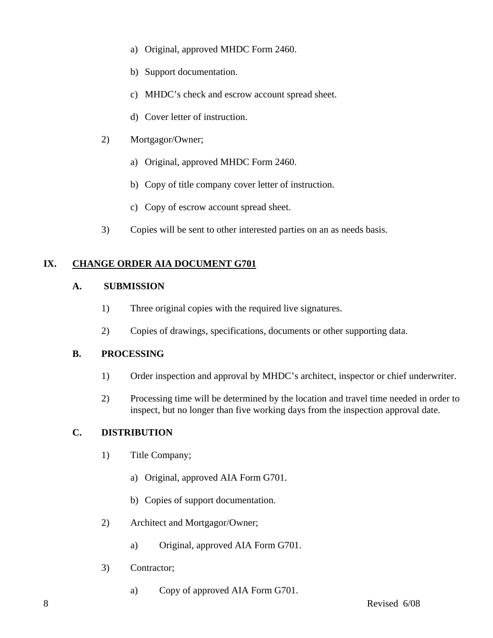- a) Original, approved MHDC Form 2460.
- b) Support documentation.
- c) MHDC's check and escrow account spread sheet.
- d) Cover letter of instruction.
- 2) Mortgagor/Owner;
	- a) Original, approved MHDC Form 2460.
	- b) Copy of title company cover letter of instruction.
	- c) Copy of escrow account spread sheet.
- 3) Copies will be sent to other interested parties on an as needs basis.

### **IX. CHANGE ORDER AIA DOCUMENT G701**

### **A. SUBMISSION**

- 1) Three original copies with the required live signatures.
- 2) Copies of drawings, specifications, documents or other supporting data.

### **B. PROCESSING**

- 1) Order inspection and approval by MHDC's architect, inspector or chief underwriter.
- 2) Processing time will be determined by the location and travel time needed in order to inspect, but no longer than five working days from the inspection approval date.

### **C. DISTRIBUTION**

- 1) Title Company;
	- a) Original, approved AIA Form G701.
	- b) Copies of support documentation.
- 2) Architect and Mortgagor/Owner;
	- a) Original, approved AIA Form G701.
- 3) Contractor;
	- a) Copy of approved AIA Form G701.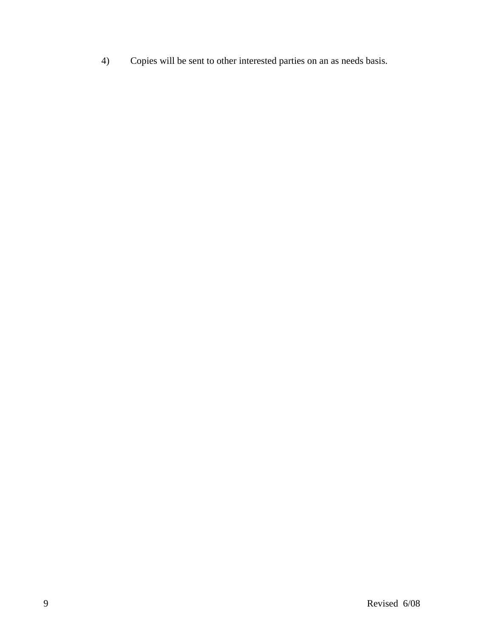4) Copies will be sent to other interested parties on an as needs basis.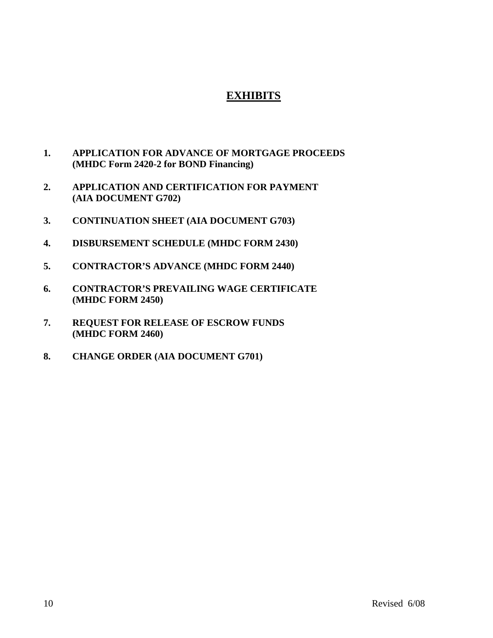### **EXHIBITS**

- **1. APPLICATION FOR ADVANCE OF MORTGAGE PROCEEDS (MHDC Form 2420-2 for BOND Financing)**
- **2. APPLICATION AND CERTIFICATION FOR PAYMENT (AIA DOCUMENT G702)**
- **3. CONTINUATION SHEET (AIA DOCUMENT G703)**
- **4. DISBURSEMENT SCHEDULE (MHDC FORM 2430)**
- **5. CONTRACTOR'S ADVANCE (MHDC FORM 2440)**
- **6. CONTRACTOR'S PREVAILING WAGE CERTIFICATE (MHDC FORM 2450)**
- **7. REQUEST FOR RELEASE OF ESCROW FUNDS (MHDC FORM 2460)**
- **8. CHANGE ORDER (AIA DOCUMENT G701)**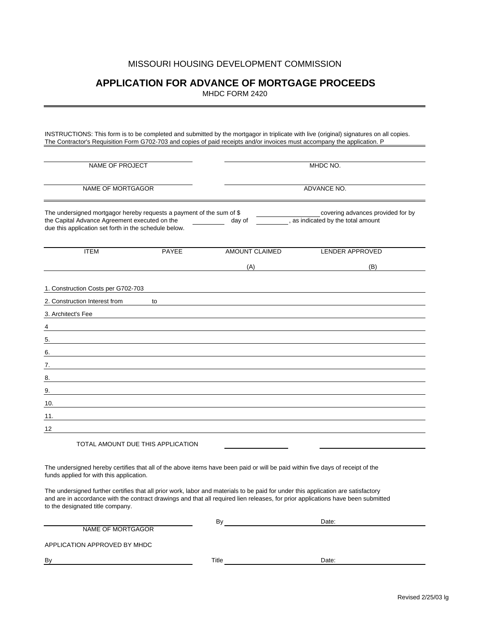### **APPLICATION FOR ADVANCE OF MORTGAGE PROCEEDS**

MHDC FORM 2420

INSTRUCTIONS: This form is to be completed and submitted by the mortgagor in triplicate with live (original) signatures on all copies. The Contractor's Requisition Form G702-703 and copies of paid receipts and/or invoices must accompany the application. P

| <b>NAME OF PROJECT</b>                                                                                                                                                         |                                   |                       | MHDC NO.                                                                                                                                                                                                                                                                                                                                                                                                |  |  |  |  |
|--------------------------------------------------------------------------------------------------------------------------------------------------------------------------------|-----------------------------------|-----------------------|---------------------------------------------------------------------------------------------------------------------------------------------------------------------------------------------------------------------------------------------------------------------------------------------------------------------------------------------------------------------------------------------------------|--|--|--|--|
| NAME OF MORTGAGOR                                                                                                                                                              |                                   |                       | ADVANCE NO.                                                                                                                                                                                                                                                                                                                                                                                             |  |  |  |  |
| The undersigned mortgagor hereby requests a payment of the sum of \$<br>the Capital Advance Agreement executed on the<br>due this application set forth in the schedule below. |                                   | day of                | covering advances provided for by<br>, as indicated by the total amount                                                                                                                                                                                                                                                                                                                                 |  |  |  |  |
| <b>ITEM</b>                                                                                                                                                                    | <b>PAYEE</b>                      | <b>AMOUNT CLAIMED</b> | <b>LENDER APPROVED</b>                                                                                                                                                                                                                                                                                                                                                                                  |  |  |  |  |
|                                                                                                                                                                                |                                   | (A)                   | (B)                                                                                                                                                                                                                                                                                                                                                                                                     |  |  |  |  |
| 1. Construction Costs per G702-703                                                                                                                                             |                                   |                       |                                                                                                                                                                                                                                                                                                                                                                                                         |  |  |  |  |
| 2. Construction Interest from                                                                                                                                                  | to                                |                       |                                                                                                                                                                                                                                                                                                                                                                                                         |  |  |  |  |
| 3. Architect's Fee                                                                                                                                                             |                                   |                       |                                                                                                                                                                                                                                                                                                                                                                                                         |  |  |  |  |
| 4                                                                                                                                                                              |                                   |                       |                                                                                                                                                                                                                                                                                                                                                                                                         |  |  |  |  |
| 5.                                                                                                                                                                             |                                   |                       |                                                                                                                                                                                                                                                                                                                                                                                                         |  |  |  |  |
| 6.                                                                                                                                                                             |                                   |                       |                                                                                                                                                                                                                                                                                                                                                                                                         |  |  |  |  |
| 7.                                                                                                                                                                             |                                   |                       |                                                                                                                                                                                                                                                                                                                                                                                                         |  |  |  |  |
| 8.                                                                                                                                                                             |                                   |                       |                                                                                                                                                                                                                                                                                                                                                                                                         |  |  |  |  |
| 9.                                                                                                                                                                             |                                   |                       |                                                                                                                                                                                                                                                                                                                                                                                                         |  |  |  |  |
| 10.                                                                                                                                                                            |                                   |                       |                                                                                                                                                                                                                                                                                                                                                                                                         |  |  |  |  |
|                                                                                                                                                                                |                                   |                       |                                                                                                                                                                                                                                                                                                                                                                                                         |  |  |  |  |
| 12                                                                                                                                                                             |                                   |                       |                                                                                                                                                                                                                                                                                                                                                                                                         |  |  |  |  |
|                                                                                                                                                                                | TOTAL AMOUNT DUE THIS APPLICATION |                       |                                                                                                                                                                                                                                                                                                                                                                                                         |  |  |  |  |
| funds applied for with this application.<br>to the designated title company.                                                                                                   |                                   |                       | The undersigned hereby certifies that all of the above items have been paid or will be paid within five days of receipt of the<br>The undersigned further certifies that all prior work, labor and materials to be paid for under this application are satisfactory<br>and are in accordance with the contract drawings and that all required lien releases, for prior applications have been submitted |  |  |  |  |
|                                                                                                                                                                                |                                   | By                    | Date:                                                                                                                                                                                                                                                                                                                                                                                                   |  |  |  |  |
| <b>NAME OF MORTGAGOR</b>                                                                                                                                                       |                                   |                       |                                                                                                                                                                                                                                                                                                                                                                                                         |  |  |  |  |

APPLICATION APPROVED BY MHDC

By By Date: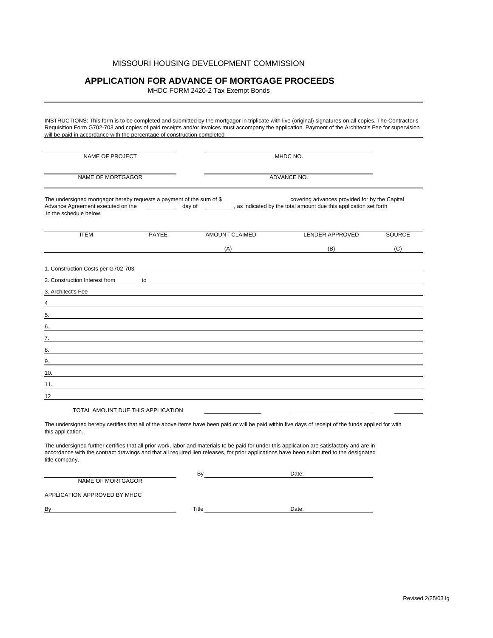### **APPLICATION FOR ADVANCE OF MORTGAGE PROCEEDS**

MHDC FORM 2420-2 Tax Exempt Bonds

INSTRUCTIONS: This form is to be completed and submitted by the mortgagor in triplicate with live (original) signatures on all copies. The Contractor's Requisition Form G702-703 and copies of paid receipts and/or invoices must accompany the application. Payment of the Architect's Fee for supervision will be paid in accordance with the percentage of construction completed

| NAME OF PROJECT                                                                                                                     |                                                                                                                      |                | MHDC NO.                                                                                                           |               |  |
|-------------------------------------------------------------------------------------------------------------------------------------|----------------------------------------------------------------------------------------------------------------------|----------------|--------------------------------------------------------------------------------------------------------------------|---------------|--|
| NAME OF MORTGAGOR                                                                                                                   |                                                                                                                      |                | ADVANCE NO.                                                                                                        |               |  |
| The undersigned mortgagor hereby requests a payment of the sum of \$<br>Advance Agreement executed on the<br>in the schedule below. | day of                                                                                                               |                | covering advances provided for by the Capital<br>, as indicated by the total amount due this application set forth |               |  |
| <b>ITEM</b>                                                                                                                         | PAYEE                                                                                                                | AMOUNT CLAIMED | LENDER APPROVED                                                                                                    | <b>SOURCE</b> |  |
|                                                                                                                                     |                                                                                                                      | (A)            | (B)                                                                                                                | (C)           |  |
| 1. Construction Costs per G702-703<br>2. Construction Interest from<br>3. Architect's Fee<br>4<br>5.<br>6.                          | to                                                                                                                   |                |                                                                                                                    |               |  |
| 7.                                                                                                                                  |                                                                                                                      |                |                                                                                                                    |               |  |
| 8.<br>9.                                                                                                                            |                                                                                                                      |                |                                                                                                                    |               |  |
| 10.                                                                                                                                 |                                                                                                                      |                |                                                                                                                    |               |  |
| 11.                                                                                                                                 | <u> 1989 - Johann Stein, marwolaethau a bhann an t-Amhair an t-Amhair an t-Amhair an t-Amhair an t-Amhair an t-A</u> |                |                                                                                                                    |               |  |
| 12                                                                                                                                  |                                                                                                                      |                |                                                                                                                    |               |  |
|                                                                                                                                     | TOTAL AMOUNT DUE THIS APPLICATION                                                                                    |                |                                                                                                                    |               |  |

The undersigned hereby certifies that all of the above items have been paid or will be paid within five days of receipt of the funds applied for wtih this application.

The undersigned further certifies that all prior work, labor and materials to be paid for under this application are satisfactory and are in accordance with the contract drawings and that all required lien releases, for prior applications have been submitted to the designated title company.

NAME OF MORTGAGOR

By Date:

APPLICATION APPROVED BY MHDC

By Government and the Contract of the Contract of Title Contract of Date: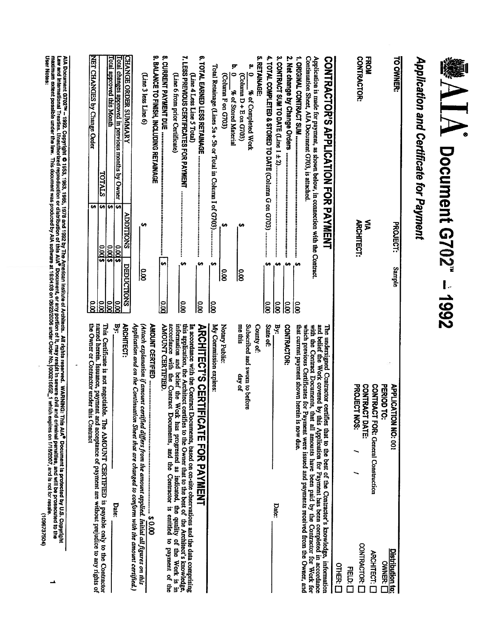# **●NIA Document G702" - 1992**

# Application and Certificate for Payment

| the Owner or Contractor under this Contract<br>named herein. Issuance, payment and acceptance of payment are without prejudice to any rights of                                                  | $\tilde{8}$                    | 69                                        | NET CHANGES by Change Order                                                       |
|--------------------------------------------------------------------------------------------------------------------------------------------------------------------------------------------------|--------------------------------|-------------------------------------------|-----------------------------------------------------------------------------------|
| This Certificate is not negotiable. The AMOUNT CERTIFIED is payable only to the Contractor                                                                                                       | $\overline{\mathbf{x}}$        | <b>SA</b><br>2003                         | <b>TOTALS</b>                                                                     |
|                                                                                                                                                                                                  | $\tilde{\mathbf{x}}$           | 69<br>$\overline{\$}$ (X) $\overline{\$}$ | Fotal approved this Month                                                         |
| Date:                                                                                                                                                                                            | $\overline{\infty}$<br>By:     | S<br>\$1000                               | Fotal changes approved in previous months by Owner                                |
| <b>ARCHITECT:</b>                                                                                                                                                                                | <b>DEDUCTIONS</b>              | <b>ADDITIONS</b>                          | <b>CHANGE ORDER SUMMARY</b>                                                       |
| Application and on the Continuation Sheet that are changed to conform with the amount certified.)                                                                                                |                                |                                           |                                                                                   |
| (Attach explanation if amount certified differs from the amount applied. Initial all figures on this                                                                                             | $\overline{8}$                 | e,                                        | (Line 3 less Line 6)                                                              |
| <b>AMOUNT CERTIFIED </b><br>į<br>$00005$ $\cdots$ $000$                                                                                                                                          |                                |                                           | <b>9. BALANCE TO FINISH, INCLUDING RETAINAGE</b>                                  |
| <b>AMOUNT CERTIFIED.</b>                                                                                                                                                                         | H,<br>$\overline{\text{0.00}}$ |                                           |                                                                                   |
| accordance with the Contract<br>Documents, and the Contractor is entitled to payment of the                                                                                                      |                                |                                           | (Line 6 from prior Certificate)                                                   |
| this application, the Architect certifies to the Owner that to the best of the Architect's knowledge, information and belief the Work has progressed as indicated, the quality of the Work is in | ₩<br>$\overline{8}$            |                                           | 7. LESS PREVIOUS CERTIFICATES FOR PAYMENT                                         |
| In accordance with the Contract 1<br>Documents, based on on-site observations and the data comprising                                                                                            |                                |                                           | (Line 4 Less Line 5 Total)                                                        |
| <b>ARCHITECT'S CERTIFICATE FOR AXYMENT</b>                                                                                                                                                       | ÷,<br><b>SO</b>                |                                           |                                                                                   |
| My Commission expires:                                                                                                                                                                           | 69<br>ခြိ                      |                                           | Total Retainage (Lines 5a + 5b or Total in Column I of G703)                      |
| Notary Public:                                                                                                                                                                                   | $\tilde{8}$                    | ₩                                         | (Column F on G703)                                                                |
|                                                                                                                                                                                                  |                                |                                           | þ,<br>$\bullet$<br>% of Stored Material                                           |
| me this<br>day of                                                                                                                                                                                | ခြ                             |                                           | (Column D+E on G703)                                                              |
| Subscribed and sworn to before                                                                                                                                                                   |                                |                                           | a.<br>O<br>% of Completed Work                                                    |
| County of:                                                                                                                                                                                       |                                |                                           | çn<br><b>RETAINAGE</b>                                                            |
| State of:                                                                                                                                                                                        | $\frac{1}{8}$                  |                                           |                                                                                   |
| Вy.<br>Date:                                                                                                                                                                                     | G,<br>$\overline{\text{8}}$    |                                           | 3. CONTRACT SUM TO DATE (Line 1 ± 2)                                              |
| CONTRACTOR:                                                                                                                                                                                      | ÷,<br>$\overline{\infty}$      |                                           |                                                                                   |
| that current payment shown herein is now due.                                                                                                                                                    | ç,<br>$\tilde{8}$              |                                           |                                                                                   |
| which previous Certificates for Payment were issued and payments received from the Owner, and                                                                                                    |                                |                                           | Continuation Sheet, AIA Document G703, is attached.                               |
| and belief the Work covered by this Application for Payment has been completed in accordance<br>with the Contract Documents, that all amounts have been paid by the Contractor for Work for      |                                |                                           | Application is made for payment, as shown below, in connection with the Contract. |
| The undersigned Contractor certifies that to the best of the Contractor's knowledge, information                                                                                                 |                                |                                           | <b>CONTRACTOR'S APPLICATION FAYMENT</b>                                           |
| <b>OTHER:</b> [                                                                                                                                                                                  |                                |                                           |                                                                                   |
| HELD: LI                                                                                                                                                                                         |                                |                                           |                                                                                   |
| PROJECT NOS:<br><b>CONTRACT DATE:</b><br>CONTRACTOR:                                                                                                                                             |                                | <b>ARCHITECT:</b>                         | CONTRACTOR:                                                                       |
| <b>CONTRACT FOR: General Construction</b><br>ARCHITECT:                                                                                                                                          |                                | ⋚                                         | <b>FROM</b>                                                                       |
| PERIOD TO:<br><b>OWNER: [</b>                                                                                                                                                                    |                                |                                           |                                                                                   |
| <b>APPLICATION NO: 001</b><br><b>Distribution to:</b>                                                                                                                                            | Sample                         | <b>PROJECT:</b>                           | TO OWNER:                                                                         |
|                                                                                                                                                                                                  |                                |                                           |                                                                                   |

AA Document G702™ – 1992. Copyright © 1953, 1963, 1978 and 1992 by The American institute of Architecs. All rights reserved. WARNING: This AIA<sup>®</sup> Document is protected by U.S. Copyright<br>maw and more that in the fact produc

(1085737504)

 $\rightarrow$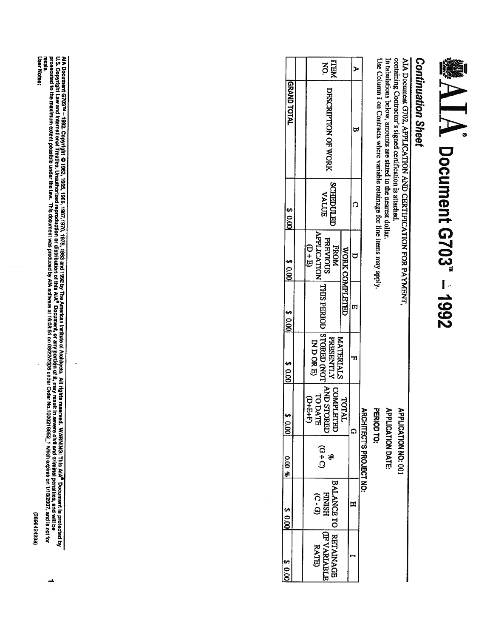# (3896424238)

∸

AlA Document G703™ – 1992. Copyright © 1963, 1963, 1967, 1979, 1983 and 1992 by The American Institute of Artitieris. All rights reserved. WARNING: This AlA<sup>e</sup> Document is protected by<br>U.S. Copyright Law and International User Notes:

|                    | <b>HEM</b>                                                                                                                                                                                                                                                                 |                | ⋗  |                              |
|--------------------|----------------------------------------------------------------------------------------------------------------------------------------------------------------------------------------------------------------------------------------------------------------------------|----------------|----|------------------------------|
| <b>GRAND TOTAL</b> | DESCRIPTION OF WORK                                                                                                                                                                                                                                                        |                |    |                              |
| 20.00              | <b>SCHEDULED</b><br><b>AALUE</b>                                                                                                                                                                                                                                           |                |    |                              |
| 80.001             | SERVIOUS   THIS PERIOTS   COREED (NOT AND STORED USED IN THIS PERIOD   WASHINGTON   WASHINGTON   WASHINGTON   WASHINGTON   WASHINGTON   WASHINGTON   WASHINGTON   WASHINGTON   WASHINGTON   WASHINGTON   WASHINGTON   WASHINGT<br>$\mathbb{G} + \mathbb{E}$<br><b>FROM</b> | WORK COMPLETED |    |                              |
| $rac{1000}{8}$     |                                                                                                                                                                                                                                                                            |                | b. |                              |
| 8 0.00             | MATERIALS<br>IND ORE)                                                                                                                                                                                                                                                      |                |    |                              |
| 100.01             | COMPLETED<br>$G+5+D$                                                                                                                                                                                                                                                       | TOTAL          |    | 옰                            |
| $0.00 \times$      | <u>ດ -</u><br>ວ<br>SP                                                                                                                                                                                                                                                      |                |    | <b>CHITECT'S PROJECT NO:</b> |
| \$0.00             | BALANCE TO RETAINAGE<br><b>HSINIH</b><br>$(C - G)$                                                                                                                                                                                                                         |                | Ξ  |                              |
| 8000               | (TRYARIABLE)<br><b>RATE</b>                                                                                                                                                                                                                                                |                |    |                              |

Use Column I on Contracts where variable retainage for line items may apply

containing Contractor's signed certification is attached.

AIA Document G702, APPLICATION AND CERTIFICATION FOR PAYMENT,

**※AIA Document G703" - 1992** 

In tabulations below, amounts are stated to the nearest dollar.

**APPLICATION DATE:** 

**APPLICATION NO: 001** 

PERIOD TO:

**Continuation Sheet**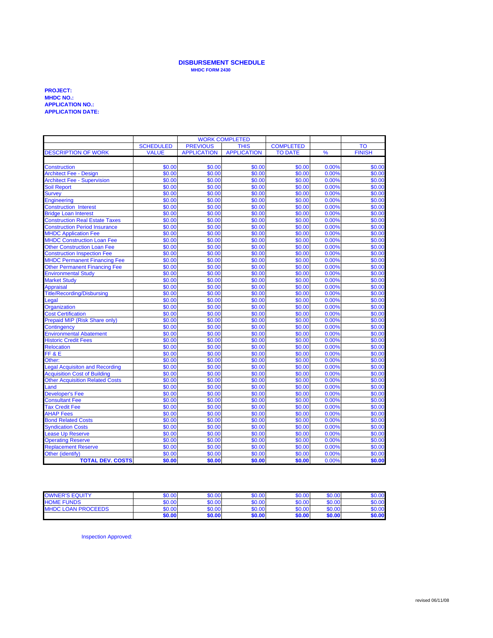### **DISBURSEMENT SCHEDULE MHDC FORM 2430**

### **PROJECT: MHDC NO.: APPLICATION NO.: APPLICATION DATE:**

|                                                  | <b>WORK COMPLETED</b> |                    |                    |                  |                |                  |
|--------------------------------------------------|-----------------------|--------------------|--------------------|------------------|----------------|------------------|
|                                                  | <b>SCHEDULED</b>      | <b>PREVIOUS</b>    | <b>THIS</b>        | <b>COMPLETED</b> |                | <b>TO</b>        |
| <b>DESCRIPTION OF WORK</b>                       | <b>VALUE</b>          | <b>APPLICATION</b> | <b>APPLICATION</b> | <b>TO DATE</b>   | %              | <b>FINISH</b>    |
|                                                  |                       |                    |                    |                  |                |                  |
| <b>Construction</b>                              | \$0.00                | \$0.00             | \$0.00             | \$0.00           | 0.00%          | \$0.00           |
| <b>Architect Fee - Design</b>                    | \$0.00                | \$0.00             | \$0.00             | \$0.00           | 0.00%          | \$0.00           |
| <b>Architect Fee - Supervision</b>               | \$0.00                | \$0.00             | \$0.00             | \$0.00           | 0.00%          | \$0.00           |
| <b>Soil Report</b>                               | \$0.00                | \$0.00             | \$0.00             | \$0.00           | 0.00%          | \$0.00           |
| <b>Survey</b>                                    | \$0.00                | \$0.00             | \$0.00             | \$0.00           | 0.00%          | \$0.00           |
| <b>Engineering</b>                               | \$0.00                | \$0.00             | \$0.00             | \$0.00           | 0.00%          | \$0.00           |
| <b>Construction Interest</b>                     | \$0.00                | \$0.00             | \$0.00             | \$0.00           | 0.00%          | \$0.00           |
| <b>Bridge Loan Interest</b>                      | \$0.00                | \$0.00             | \$0.00             | \$0.00           | 0.00%          | \$0.00           |
| <b>Construction Real Estate Taxes</b>            | \$0.00                | \$0.00             | \$0.00             | \$0.00           | 0.00%          | \$0.00           |
| <b>Construction Period Insurance</b>             | \$0.00                | \$0.00             | \$0.00             | \$0.00           | 0.00%          | \$0.00           |
| <b>MHDC Application Fee</b>                      | \$0.00                | \$0.00             | \$0.00             | \$0.00           | 0.00%          | \$0.00           |
| <b>MHDC Construction Loan Fee</b>                | \$0.00                | \$0.00             | \$0.00             | \$0.00           | 0.00%          | \$0.00           |
| <b>Other Construction Loan Fee</b>               | \$0.00                | \$0.00             | \$0.00             | \$0.00           | 0.00%          | \$0.00           |
| <b>Construction Inspection Fee</b>               | \$0.00                | \$0.00             | \$0.00             | \$0.00           | 0.00%          | \$0.00           |
| <b>MHDC Permanent Financing Fee</b>              | \$0.00                | \$0.00             | \$0.00             | \$0.00           | 0.00%          | \$0.00           |
| <b>Other Permanent Financing Fee</b>             | \$0.00                | \$0.00             | \$0.00             | \$0.00           | 0.00%          | \$0.00           |
| <b>Environmental Study</b>                       | \$0.00                | \$0.00             | \$0.00             | \$0.00           | 0.00%          | \$0.00           |
| <b>Market Study</b>                              | \$0.00                | \$0.00             | \$0.00             | \$0.00           | 0.00%          | \$0.00           |
| <b>Appraisal</b>                                 | \$0.00                | \$0.00             | \$0.00             | \$0.00           | 0.00%          | \$0.00           |
| <b>Title/Recording/Disbursing</b>                | \$0.00                | \$0.00             | \$0.00             | \$0.00           | 0.00%          | \$0.00           |
| Legal                                            | \$0.00                | \$0.00             | \$0.00             | \$0.00           | 0.00%          | \$0.00           |
| Organization                                     | \$0.00                | \$0.00             | \$0.00             | \$0.00           | 0.00%          | \$0.00           |
| <b>Cost Certification</b>                        | \$0.00                | \$0.00             | \$0.00             | \$0.00           | 0.00%          | \$0.00           |
| Prepaid MIP (Risk Share only)                    | \$0.00                | \$0.00             | \$0.00             | \$0.00           | 0.00%          | \$0.00           |
| Contingency                                      | \$0.00                | \$0.00             | \$0.00             | \$0.00           | 0.00%          | \$0.00           |
| <b>Environmental Abatement</b>                   | \$0.00<br>\$0.00      | \$0.00<br>\$0.00   | \$0.00<br>\$0.00   | \$0.00<br>\$0.00 | 0.00%          | \$0.00<br>\$0.00 |
| <b>Historic Credit Fees</b><br><b>Relocation</b> | \$0.00                | \$0.00             | \$0.00             | \$0.00           | 0.00%<br>0.00% | \$0.00           |
| FF&E                                             | \$0.00                | \$0.00             | \$0.00             | \$0.00           | 0.00%          | \$0.00           |
| Other:                                           | \$0.00                | \$0.00             | \$0.00             | \$0.00           | 0.00%          | \$0.00           |
| <b>Legal Acquisiton and Recording</b>            | \$0.00                | \$0.00             | \$0.00             | \$0.00           | 0.00%          | \$0.00           |
| <b>Acquisition Cost of Building</b>              | \$0.00                | \$0.00             | \$0.00             | \$0.00           | 0.00%          | \$0.00           |
| <b>Other Acquisition Related Costs</b>           | \$0.00                | \$0.00             | \$0.00             | \$0.00           | 0.00%          | \$0.00           |
| Land                                             | \$0.00                | \$0.00             | \$0.00             | \$0.00           | 0.00%          | \$0.00           |
| <b>Developer's Fee</b>                           | \$0.00                | \$0.00             | \$0.00             | \$0.00           | 0.00%          | \$0.00           |
| <b>Consultant Fee</b>                            | \$0.00                | \$0.00             | \$0.00             | \$0.00           | 0.00%          | \$0.00           |
| <b>Tax Credit Fee</b>                            | \$0.00                | \$0.00             | \$0.00             | \$0.00           | 0.00%          | \$0.00           |
| <b>AHAP Fees</b>                                 | \$0.00                | \$0.00             | \$0.00             | \$0.00           | 0.00%          | \$0.00           |
| <b>Bond Related Costs</b>                        | \$0.00                | \$0.00             | \$0.00             | \$0.00           | 0.00%          | \$0.00           |
| <b>Syndication Costs</b>                         | \$0.00                | \$0.00             | \$0.00             | \$0.00           | 0.00%          | \$0.00           |
| ease Up Reserve                                  | \$0.00                | \$0.00             | \$0.00             | \$0.00           | 0.00%          | \$0.00           |
| <b>Operating Reserve</b>                         | \$0.00                | \$0.00             | \$0.00             | \$0.00           | 0.00%          | \$0.00           |
| <b>Replacement Reserve</b>                       | \$0.00                | \$0.00             | \$0.00             | \$0.00           | 0.00%          | \$0.00           |
| Other (identify)                                 | \$0.00                | \$0.00             | \$0.00             | \$0.00           | 0.00%          | \$0.00           |
| <b>TOTAL DEV. COSTS</b>                          | \$0.00                | \$0.00             | \$0.00             | \$0.00           | 0.00%          | \$0.00           |

| <b>OWNER'S EQUITY</b>     | \$0.00 | \$0.00 | \$0.00 | \$0.00 | \$0.00 | \$0.00 |
|---------------------------|--------|--------|--------|--------|--------|--------|
| <b>HOME FUNDS</b>         | \$0.00 | \$0.00 | \$0.00 | \$0.00 | \$0.00 | \$0.00 |
| <b>MHDC LOAN PROCEEDS</b> | \$0.00 | \$0.00 | \$0.00 | \$0.00 | \$0.00 | \$0.00 |
|                           | \$0.00 | \$0.00 | \$0.00 | \$0.00 | \$0.00 | \$0.00 |

Inspection Approved: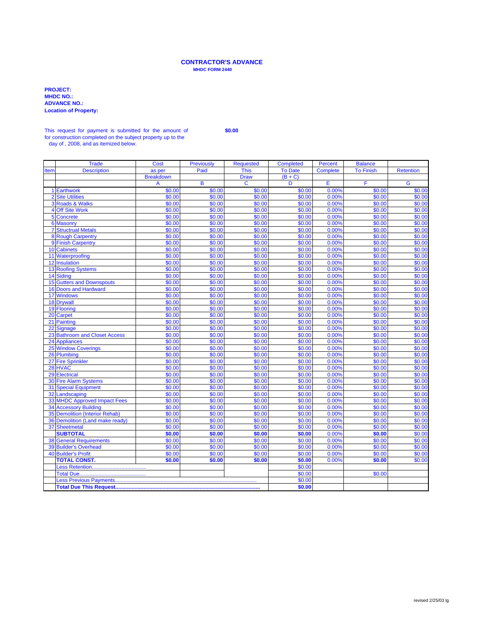### **CONTRACTOR'S ADVANCE MHDC FORM 2440**

**PROJECT: MHDC NO.: ADVANCE NO.: Location of Property:** 

### This request for payment is submitted for the amount of **\$0.00** for construction completed on the subject property up to the

day of , 2008, and as itemized below.

|      | <b>Trade</b>                     | <b>Cost</b>      | Previously       | Requested        | <b>Completed</b> | Percent         | <b>Balance</b>   |                  |
|------|----------------------------------|------------------|------------------|------------------|------------------|-----------------|------------------|------------------|
| Item | <b>Description</b>               | as per           | Paid             | <b>This</b>      | <b>To Date</b>   | <b>Complete</b> | <b>To Finish</b> | <b>Retention</b> |
|      |                                  | <b>Breakdown</b> |                  | <b>Draw</b>      | $(B+C)$          |                 |                  |                  |
|      |                                  | A                | B                | C                | D                | Е               | F                | G                |
|      | 1 Earthwork                      | \$0.00           | \$0.00           | \$0.00           | \$0.00           | 0.00%           | \$0.00           | \$0.00           |
|      | 2 Site Utilities                 | \$0.00           | \$0.00           | \$0.00           | \$0.00           | 0.00%           | \$0.00           | \$0.00           |
|      | 3 Roads & Walks                  | \$0.00           | \$0.00           | \$0.00           | \$0.00           | 0.00%           | \$0.00           | \$0.00           |
|      | 4 Off Site Work                  | \$0.00           | \$0.00           | \$0.00           | \$0.00           | 0.00%           | \$0.00           | \$0.00           |
|      | 5 Concrete                       | \$0.00           | \$0.00           | \$0.00           | \$0.00           | 0.00%           | \$0.00           | \$0.00           |
|      | 6 Masonry                        | \$0.00           | \$0.00           | \$0.00           | \$0.00           | 0.00%           | \$0.00           | \$0.00           |
|      | <b>7 Structrual Metals</b>       | \$0.00           | \$0.00           | \$0.00           | \$0.00           | 0.00%           | \$0.00           | \$0.00           |
|      | 8 Rough Carpentry                | \$0.00           | \$0.00           | \$0.00           | \$0.00           | 0.00%           | \$0.00           | \$0.00           |
|      | 9 Finish Carpentry               | \$0.00           | \$0.00           | \$0.00           | \$0.00           | 0.00%           | \$0.00           | \$0.00           |
|      | <b>10 Cabinets</b>               | \$0.00           | \$0.00           | \$0.00           | \$0.00           | 0.00%           | \$0.00           | \$0.00           |
|      | 11 Waterproofing                 | \$0.00           | \$0.00           | \$0.00           | \$0.00           | 0.00%           | \$0.00           | \$0.00           |
|      | 12 Insulation                    | \$0.00           | \$0.00           | \$0.00           | \$0.00           | 0.00%           | \$0.00           | \$0.00           |
|      | <b>13 Roofing Systems</b>        | \$0.00           | \$0.00           | \$0.00           | \$0.00           | 0.00%           | \$0.00           | \$0.00           |
|      | 14 Siding                        | \$0.00           | \$0.00           | \$0.00           | \$0.00           | 0.00%           | \$0.00           | \$0.00           |
|      | <b>15 Gutters and Downspouts</b> | \$0.00           | \$0.00           | \$0.00           | \$0.00           | 0.00%           | \$0.00           | \$0.00           |
|      | 16 Doors and Hardward            | \$0.00           | \$0.00           | \$0.00           | \$0.00           | 0.00%           | \$0.00           | \$0.00           |
|      | 17 Windows                       | \$0.00           | \$0.00           | \$0.00           | \$0.00           | 0.00%           | \$0.00           | \$0.00           |
|      | 18 Drywall                       | \$0.00           | \$0.00           | \$0.00           | \$0.00           | 0.00%           | \$0.00           | \$0.00           |
|      | 19 Flooring                      | \$0.00           | \$0.00           | \$0.00           | \$0.00           | 0.00%           | \$0.00           | \$0.00           |
|      | 20 Carpet                        | \$0.00           | \$0.00           | \$0.00           | \$0.00           | 0.00%           | \$0.00           | \$0.00           |
|      | 21 Painting                      | \$0.00           | \$0.00           | \$0.00           | \$0.00           | 0.00%           | \$0.00           | \$0.00           |
|      | 22 Signage                       | \$0.00           | \$0.00           | \$0.00           | \$0.00           | 0.00%           | \$0.00           | \$0.00           |
|      | 23 Bathroom and Closet Access    | \$0.00           | \$0.00           | \$0.00           | \$0.00           | 0.00%           | \$0.00           | \$0.00           |
|      | 24 Appliances                    | \$0.00           | \$0.00           | \$0.00           | \$0.00           | 0.00%           | \$0.00           | \$0.00           |
|      | <b>25 Window Coverings</b>       | \$0.00           | \$0.00           | \$0.00           | \$0.00           | 0.00%           | \$0.00           | \$0.00           |
|      | 26 Plumbing                      | \$0.00           | \$0.00<br>\$0.00 | \$0.00           | \$0.00           | 0.00%           | \$0.00<br>\$0.00 | \$0.00           |
|      | 27 Fire Sprinkler                | \$0.00           | \$0.00           | \$0.00<br>\$0.00 | \$0.00<br>\$0.00 | 0.00%<br>0.00%  | \$0.00           | \$0.00<br>\$0.00 |
|      | 28 HVAC<br><b>29 Electrical</b>  | \$0.00<br>\$0.00 | \$0.00           | \$0.00           | \$0.00           | 0.00%           | \$0.00           | \$0.00           |
|      | 30 Fire Alarm Systems            | \$0.00           | \$0.00           | \$0.00           | \$0.00           | 0.00%           | \$0.00           | \$0.00           |
|      | <b>31 Special Equipment</b>      | \$0.00           | \$0.00           | \$0.00           | \$0.00           | 0.00%           | \$0.00           | \$0.00           |
|      | 32 Landscaping                   | \$0.00           | \$0.00           | \$0.00           | \$0.00           | 0.00%           | \$0.00           | \$0.00           |
|      | 33 MHDC Approved Impact Fees     | \$0.00           | \$0.00           | \$0.00           | \$0.00           | 0.00%           | \$0.00           | \$0.00           |
|      | <b>34 Accessory Building</b>     | \$0.00           | \$0.00           | \$0.00           | \$0.00           | 0.00%           | \$0.00           | \$0.00           |
|      | 35 Demolition (Interior Rehab)   | \$0.00           | \$0.00           | \$0.00           | \$0.00           | 0.00%           | \$0.00           | \$0.00           |
|      | 36 Demolition (Land make ready)  | \$0.00           | \$0.00           | \$0.00           | \$0.00           | 0.00%           | \$0.00           | \$0.00           |
|      | 37 Sheetmetal                    | \$0.00           | \$0.00           | \$0.00           | \$0.00           | 0.00%           | \$0.00           | \$0.00           |
|      | <b>SUBTOTAL</b>                  | \$0.00           | \$0.00           | \$0.00           | \$0.00           | 0.00%           | \$0.00           | \$0.00           |
|      | <b>38 General Requirements</b>   | \$0.00           | \$0.00           | \$0.00           | \$0.00           | 0.00%           | \$0.00           | \$0.00           |
|      | <b>39 Builder's Overhead</b>     | \$0.00           | \$0.00           | \$0.00           | \$0.00           | 0.00%           | \$0.00           | \$0.00           |
|      | <b>40 Builder's Profit</b>       | \$0.00           | \$0.00           | \$0.00           | \$0.00           | 0.00%           | \$0.00           | \$0.00           |
|      | <b>TOTAL CONST.</b>              | \$0.00           | \$0.00           | \$0.00           | \$0.00           | 0.00%           | \$0.00           | \$0.00           |
|      |                                  |                  |                  |                  | \$0.00           |                 |                  |                  |
|      |                                  |                  |                  |                  | \$0.00           |                 | \$0.00           |                  |
|      |                                  |                  |                  |                  | \$0.00           |                 |                  |                  |
|      |                                  | \$0.00           |                  |                  |                  |                 |                  |                  |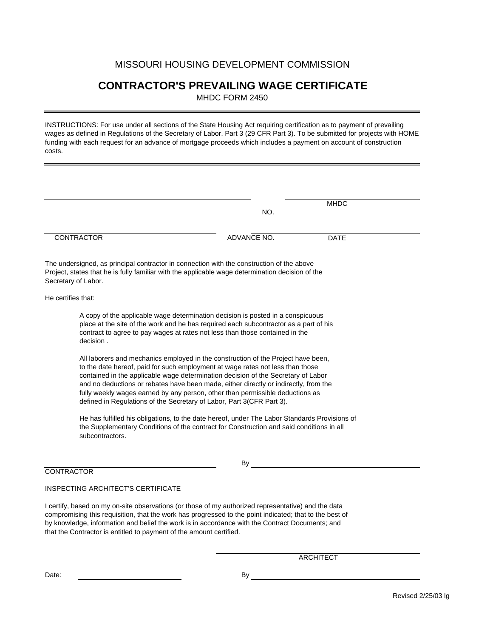### **CONTRACTOR'S PREVAILING WAGE CERTIFICATE**

MHDC FORM 2450

INSTRUCTIONS: For use under all sections of the State Housing Act requiring certification as to payment of prevailing wages as defined in Regulations of the Secretary of Labor, Part 3 (29 CFR Part 3). To be submitted for projects with HOME funding with each request for an advance of mortgage proceeds which includes a payment on account of construction costs.

|                    |                                                                                                                                                                                                                                                                                                                                                                                                                                                                                                            |             | <b>MHDC</b> |  |
|--------------------|------------------------------------------------------------------------------------------------------------------------------------------------------------------------------------------------------------------------------------------------------------------------------------------------------------------------------------------------------------------------------------------------------------------------------------------------------------------------------------------------------------|-------------|-------------|--|
|                    |                                                                                                                                                                                                                                                                                                                                                                                                                                                                                                            | NO.         |             |  |
|                    | <b>CONTRACTOR</b>                                                                                                                                                                                                                                                                                                                                                                                                                                                                                          | ADVANCE NO. | <b>DATE</b> |  |
|                    | The undersigned, as principal contractor in connection with the construction of the above<br>Project, states that he is fully familiar with the applicable wage determination decision of the<br>Secretary of Labor.                                                                                                                                                                                                                                                                                       |             |             |  |
| He certifies that: |                                                                                                                                                                                                                                                                                                                                                                                                                                                                                                            |             |             |  |
|                    | A copy of the applicable wage determination decision is posted in a conspicuous<br>place at the site of the work and he has required each subcontractor as a part of his<br>contract to agree to pay wages at rates not less than those contained in the<br>decision.                                                                                                                                                                                                                                      |             |             |  |
|                    | All laborers and mechanics employed in the construction of the Project have been,<br>to the date hereof, paid for such employment at wage rates not less than those<br>contained in the applicable wage determination decision of the Secretary of Labor<br>and no deductions or rebates have been made, either directly or indirectly, from the<br>fully weekly wages earned by any person, other than permissible deductions as<br>defined in Regulations of the Secretary of Labor, Part 3(CFR Part 3). |             |             |  |
|                    | He has fulfilled his obligations, to the date hereof, under The Labor Standards Provisions of<br>the Supplementary Conditions of the contract for Construction and said conditions in all<br>subcontractors.                                                                                                                                                                                                                                                                                               |             |             |  |
|                    |                                                                                                                                                                                                                                                                                                                                                                                                                                                                                                            | By          |             |  |

### INSPECTING ARCHITECT'S CERTIFICATE

I certify, based on my on-site observations (or those of my authorized representative) and the data compromising this requisition, that the work has progressed to the point indicated; that to the best of by knowledge, information and belief the work is in accordance with the Contract Documents; and that the Contractor is entitled to payment of the amount certified.

ARCHITECT

Date: By Box 2014 and the contract of the contract of the contract of the contract of the contract of the contract of the contract of the contract of the contract of the contract of the contract of the contract of the cont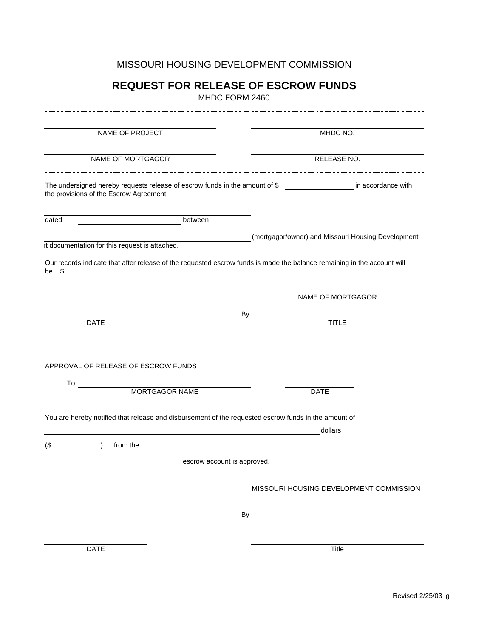### **REQUEST FOR RELEASE OF ESCROW FUNDS**

MHDC FORM 2460

| NAME OF PROJECT                                                                                                        | MHDC NO.                                                                                                                                                                                                                       |
|------------------------------------------------------------------------------------------------------------------------|--------------------------------------------------------------------------------------------------------------------------------------------------------------------------------------------------------------------------------|
|                                                                                                                        |                                                                                                                                                                                                                                |
| NAME OF MORTGAGOR                                                                                                      | RELEASE NO.                                                                                                                                                                                                                    |
|                                                                                                                        |                                                                                                                                                                                                                                |
| The undersigned hereby requests release of escrow funds in the amount of \$<br>the provisions of the Escrow Agreement. | in accordance with                                                                                                                                                                                                             |
| dated<br>between                                                                                                       |                                                                                                                                                                                                                                |
|                                                                                                                        | (mortgagor/owner) and Missouri Housing Development                                                                                                                                                                             |
| rt documentation for this request is attached.                                                                         |                                                                                                                                                                                                                                |
| \$<br>be                                                                                                               | Our records indicate that after release of the requested escrow funds is made the balance remaining in the account will                                                                                                        |
|                                                                                                                        | NAME OF MORTGAGOR                                                                                                                                                                                                              |
|                                                                                                                        | By                                                                                                                                                                                                                             |
| <b>DATE</b>                                                                                                            | <b>TITLE</b>                                                                                                                                                                                                                   |
| APPROVAL OF RELEASE OF ESCROW FUNDS<br>To:                                                                             |                                                                                                                                                                                                                                |
| MORTGAGOR NAME                                                                                                         | <b>DATE</b>                                                                                                                                                                                                                    |
| You are hereby notified that release and disbursement of the requested escrow funds in the amount of                   |                                                                                                                                                                                                                                |
|                                                                                                                        | dollars                                                                                                                                                                                                                        |
| from the<br>$($ \$                                                                                                     |                                                                                                                                                                                                                                |
|                                                                                                                        | escrow account is approved.                                                                                                                                                                                                    |
|                                                                                                                        |                                                                                                                                                                                                                                |
|                                                                                                                        | MISSOURI HOUSING DEVELOPMENT COMMISSION                                                                                                                                                                                        |
|                                                                                                                        | By the contract of the contract of the contract of the contract of the contract of the contract of the contract of the contract of the contract of the contract of the contract of the contract of the contract of the contrac |
|                                                                                                                        |                                                                                                                                                                                                                                |
| <b>DATE</b>                                                                                                            | Title                                                                                                                                                                                                                          |